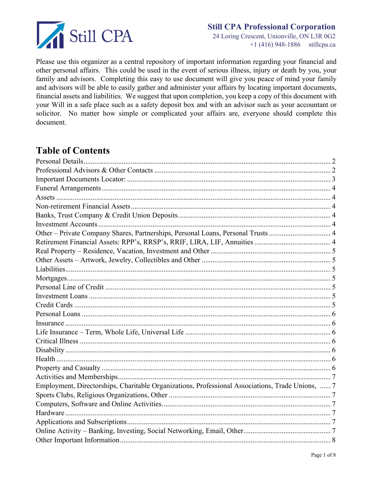

### **Still CPA Professional Corporation**

24 Loring Crescent, Unionville, ON L3R 0G2 +1 (416) 948-1886 stillcpa.ca

Please use this organizer as a central repository of important information regarding your financial and other personal affairs. This could be used in the event of serious illness, injury or death by you, your family and advisors. Completing this easy to use document will give you peace of mind your family and advisors will be able to easily gather and administer your affairs by locating important documents, financial assets and liabilities. We suggest that upon completion, you keep a copy of this document with your Will in a safe place such as a safety deposit box and with an advisor such as your accountant or solicitor. No matter how simple or complicated your affairs are, everyone should complete this document.

## **Table of Contents**

| Other - Private Company Shares, Partnerships, Personal Loans, Personal Trusts  4                 |  |
|--------------------------------------------------------------------------------------------------|--|
|                                                                                                  |  |
|                                                                                                  |  |
|                                                                                                  |  |
|                                                                                                  |  |
|                                                                                                  |  |
|                                                                                                  |  |
|                                                                                                  |  |
|                                                                                                  |  |
|                                                                                                  |  |
|                                                                                                  |  |
|                                                                                                  |  |
|                                                                                                  |  |
|                                                                                                  |  |
|                                                                                                  |  |
|                                                                                                  |  |
|                                                                                                  |  |
| Employment, Directorships, Charitable Organizations, Professional Associations, Trade Unions,  7 |  |
|                                                                                                  |  |
|                                                                                                  |  |
|                                                                                                  |  |
|                                                                                                  |  |
|                                                                                                  |  |
|                                                                                                  |  |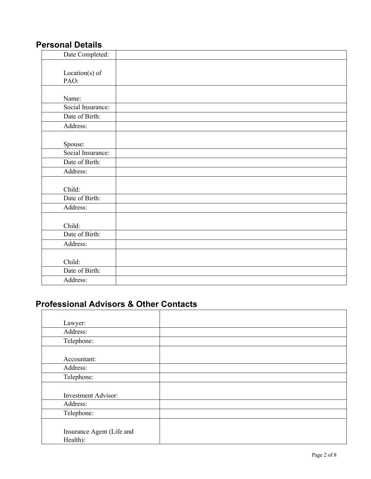## **Personal Details**

| Date Completed:   |  |
|-------------------|--|
|                   |  |
| Location(s) of    |  |
| PAO:              |  |
|                   |  |
| Name:             |  |
| Social Insurance: |  |
| Date of Birth:    |  |
| Address:          |  |
|                   |  |
| Spouse:           |  |
| Social Insurance: |  |
| Date of Birth:    |  |
| Address:          |  |
|                   |  |
| Child:            |  |
| Date of Birth:    |  |
| Address:          |  |
|                   |  |
| Child:            |  |
| Date of Birth:    |  |
| Address:          |  |
|                   |  |
| Child:            |  |
| Date of Birth:    |  |
| Address:          |  |

## **Professional Advisors & Other Contacts**

| Lawyer:                    |  |
|----------------------------|--|
| Address:                   |  |
| Telephone:                 |  |
|                            |  |
| Accountant:                |  |
| Address:                   |  |
| Telephone:                 |  |
|                            |  |
| <b>Investment Advisor:</b> |  |
| Address:                   |  |
| Telephone:                 |  |
|                            |  |
| Insurance Agent (Life and  |  |
| Health):                   |  |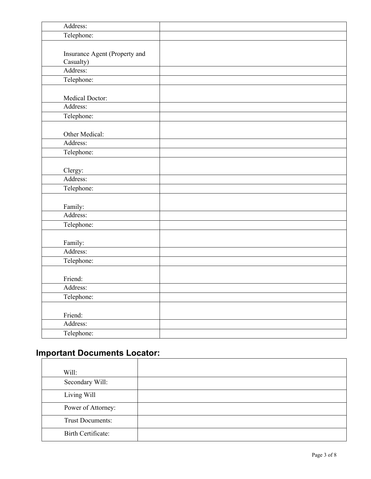| Address:                      |  |
|-------------------------------|--|
| Telephone:                    |  |
|                               |  |
| Insurance Agent (Property and |  |
| Casualty)                     |  |
| Address:                      |  |
| Telephone:                    |  |
| Medical Doctor:               |  |
| Address:                      |  |
| Telephone:                    |  |
|                               |  |
| Other Medical:                |  |
| Address:                      |  |
| Telephone:                    |  |
|                               |  |
| Clergy:                       |  |
| Address:                      |  |
| Telephone:                    |  |
|                               |  |
| Family:                       |  |
| Address:                      |  |
| Telephone:                    |  |
|                               |  |
| Family:                       |  |
| Address:                      |  |
| Telephone:                    |  |
|                               |  |
| Friend:                       |  |
| Address:                      |  |
| Telephone:                    |  |
|                               |  |
| Friend:                       |  |
| Address:                      |  |
| Telephone:                    |  |

# **Important Documents Locator:**

| Will:                   |  |  |
|-------------------------|--|--|
| Secondary Will:         |  |  |
| Living Will             |  |  |
| Power of Attorney:      |  |  |
| <b>Trust Documents:</b> |  |  |
| Birth Certificate:      |  |  |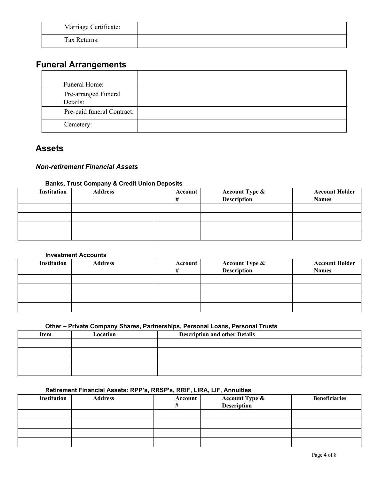| Marriage Certificate: |  |
|-----------------------|--|
| Tax Returns:          |  |

## **Funeral Arrangements**

| Funeral Home:                    |  |
|----------------------------------|--|
| Pre-arranged Funeral<br>Details: |  |
| Pre-paid funeral Contract:       |  |
| Cemetery:                        |  |

## **Assets**

#### *Non-retirement Financial Assets*

#### **Banks, Trust Company & Credit Union Deposits**

| Institution | <b>Address</b> | Account | <b>Account Type &amp;</b> | <b>Account Holder</b> |
|-------------|----------------|---------|---------------------------|-----------------------|
|             |                | #       | Description               | <b>Names</b>          |
|             |                |         |                           |                       |
|             |                |         |                           |                       |
|             |                |         |                           |                       |
|             |                |         |                           |                       |

#### **Investment Accounts**

| Institution | <b>Address</b> | Account  <br># | <b>Account Type &amp;</b><br><b>Description</b> | <b>Account Holder</b><br><b>Names</b> |
|-------------|----------------|----------------|-------------------------------------------------|---------------------------------------|
|             |                |                |                                                 |                                       |
|             |                |                |                                                 |                                       |
|             |                |                |                                                 |                                       |
|             |                |                |                                                 |                                       |

#### **Other – Private Company Shares, Partnerships, Personal Loans, Personal Trusts**

| Item | Location | <b>Description and other Details</b> |
|------|----------|--------------------------------------|
|      |          |                                      |
|      |          |                                      |
|      |          |                                      |
|      |          |                                      |

#### **Retirement Financial Assets: RPP's, RRSP's, RRIF, LIRA, LIF, Annuities**

| <b>Institution</b> | <b>Address</b> | Account<br># | <b>Account Type &amp;</b><br>Description | <b>Beneficiaries</b> |
|--------------------|----------------|--------------|------------------------------------------|----------------------|
|                    |                |              |                                          |                      |
|                    |                |              |                                          |                      |
|                    |                |              |                                          |                      |
|                    |                |              |                                          |                      |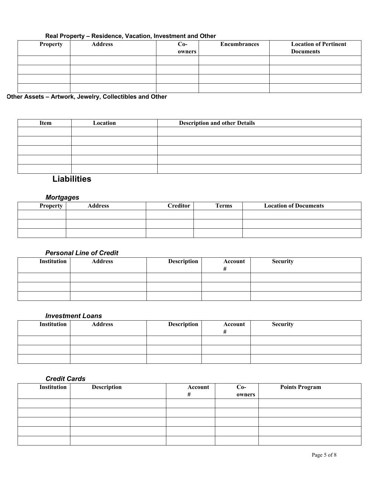#### **Real Property – Residence, Vacation, Investment and Other**

| <b>Property</b> | <b>Address</b> | Co-    | <b>Encumbrances</b> | <b>Location of Pertinent</b> |
|-----------------|----------------|--------|---------------------|------------------------------|
|                 |                | owners |                     | <b>Documents</b>             |
|                 |                |        |                     |                              |
|                 |                |        |                     |                              |
|                 |                |        |                     |                              |
|                 |                |        |                     |                              |

### **Other Assets – Artwork, Jewelry, Collectibles and Other**

| Item | Location | <b>Description and other Details</b> |
|------|----------|--------------------------------------|
|      |          |                                      |
|      |          |                                      |
|      |          |                                      |
|      |          |                                      |
|      |          |                                      |

## **Liabilities**

#### *Mortgages*

| - -             |                |          |              |                              |
|-----------------|----------------|----------|--------------|------------------------------|
| <b>Property</b> | <b>Address</b> | Creditor | <b>Terms</b> | <b>Location of Documents</b> |
|                 |                |          |              |                              |
|                 |                |          |              |                              |
|                 |                |          |              |                              |

#### *Personal Line of Credit*

| <b>Institution</b> | <b>Address</b> | <b>Description</b> | Account | <b>Security</b> |
|--------------------|----------------|--------------------|---------|-----------------|
|                    |                |                    |         |                 |
|                    |                |                    |         |                 |
|                    |                |                    |         |                 |

#### *Investment Loans*

| Institution | <b>Address</b> | <b>Description</b> | Account | <b>Security</b> |
|-------------|----------------|--------------------|---------|-----------------|
|             |                |                    |         |                 |
|             |                |                    |         |                 |
|             |                |                    |         |                 |

#### *Credit Cards*

| <b>Institution</b> | <b>Description</b> | Account | $Co-$  | <b>Points Program</b> |
|--------------------|--------------------|---------|--------|-----------------------|
|                    |                    | #       | owners |                       |
|                    |                    |         |        |                       |
|                    |                    |         |        |                       |
|                    |                    |         |        |                       |
|                    |                    |         |        |                       |
|                    |                    |         |        |                       |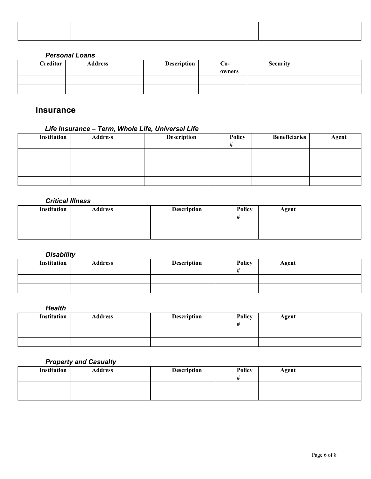| the contract of the contract of the contract of the contract of the contract of the contract of the contract of |  |  |
|-----------------------------------------------------------------------------------------------------------------|--|--|
|                                                                                                                 |  |  |

#### *Personal Loans*

| Creditor | <b>Address</b> | <b>Description</b> | Co-<br>owners | <b>Security</b> |
|----------|----------------|--------------------|---------------|-----------------|
|          |                |                    |               |                 |
|          |                |                    |               |                 |

### **Insurance**

### *Life Insurance – Term, Whole Life, Universal Life*

| <b>Institution</b> | <b>Address</b> | <b>Description</b> | Policy | <b>Beneficiaries</b> | <b>Agent</b> |
|--------------------|----------------|--------------------|--------|----------------------|--------------|
|                    |                |                    |        |                      |              |
|                    |                |                    |        |                      |              |
|                    |                |                    |        |                      |              |
|                    |                |                    |        |                      |              |

#### *Critical Illness*

| Institution | <b>Address</b> | <b>Description</b> | <b>Policy</b> | Agent |
|-------------|----------------|--------------------|---------------|-------|
|             |                |                    |               |       |
|             |                |                    |               |       |

#### *Disability*

| Institution | <b>Address</b> | <b>Description</b> | <b>Policy</b><br># | Agent |  |
|-------------|----------------|--------------------|--------------------|-------|--|
|             |                |                    |                    |       |  |
|             |                |                    |                    |       |  |

#### *Health*

| Institution | <b>Address</b> | <b>Description</b> | <b>Policy</b><br>$\cdot$ | <b>Agent</b> |
|-------------|----------------|--------------------|--------------------------|--------------|
|             |                |                    |                          |              |
|             |                |                    |                          |              |

### *Property and Casualty*

| Institution | <b>Address</b> | <b>Description</b> | <b>Policy</b><br>п<br>Ħ | Agent |
|-------------|----------------|--------------------|-------------------------|-------|
|             |                |                    |                         |       |
|             |                |                    |                         |       |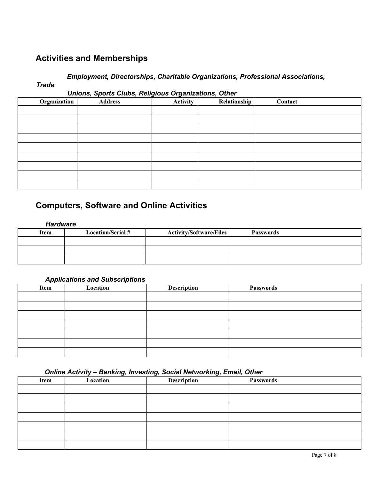## **Activities and Memberships**

#### *Employment, Directorships, Charitable Organizations, Professional Associations,*

*Trade*

#### *Unions, Sports Clubs, Religious Organizations, Other*

| Organization | <b>Address</b> | Activity | Relationship | Contact |
|--------------|----------------|----------|--------------|---------|
|              |                |          |              |         |
|              |                |          |              |         |
|              |                |          |              |         |
|              |                |          |              |         |
|              |                |          |              |         |
|              |                |          |              |         |
|              |                |          |              |         |
|              |                |          |              |         |
|              |                |          |              |         |

## **Computers, Software and Online Activities**

#### *Hardware*

| Item | <b>Location/Serial #</b> | <b>Activity/Software/Files</b> | <b>Passwords</b> |
|------|--------------------------|--------------------------------|------------------|
|      |                          |                                |                  |
|      |                          |                                |                  |
|      |                          |                                |                  |

#### *Applications and Subscriptions*

| $  -$<br>Item | Location | <b>Description</b> | <b>Passwords</b> |
|---------------|----------|--------------------|------------------|
|               |          |                    |                  |
|               |          |                    |                  |
|               |          |                    |                  |
|               |          |                    |                  |
|               |          |                    |                  |
|               |          |                    |                  |
|               |          |                    |                  |

#### *Online Activity – Banking, Investing, Social Networking, Email, Other*

|      | -<br>$\cdot$ $\cdot$ | $-$<br>$\cdot$ | . .              |
|------|----------------------|----------------|------------------|
| Item | Location             | Description    | <b>Passwords</b> |
|      |                      |                |                  |
|      |                      |                |                  |
|      |                      |                |                  |
|      |                      |                |                  |
|      |                      |                |                  |
|      |                      |                |                  |
|      |                      |                |                  |